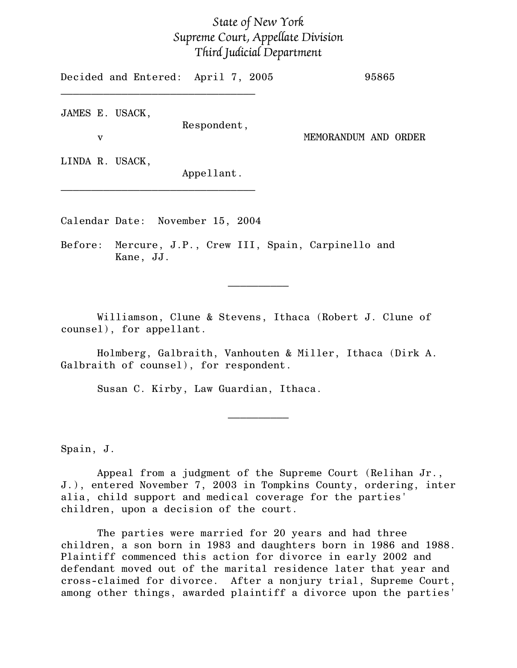## State of New York Supreme Court, Appellate Division Third Judicial Department

Decided and Entered: April 7, 2005 95865  $\mathcal{L}=\{1,2,3,4,5\}$ JAMES E. USACK, Respondent, v MEMORANDUM AND ORDER LINDA R. USACK,

Appellant.

Calendar Date: November 15, 2004

 $\mathcal{L}=\{1,2,3,4,5\}$ 

Before: Mercure, J.P., Crew III, Spain, Carpinello and Kane, JJ.

Williamson, Clune & Stevens, Ithaca (Robert J. Clune of counsel), for appellant.

 $\frac{1}{2}$ 

Holmberg, Galbraith, Vanhouten & Miller, Ithaca (Dirk A. Galbraith of counsel), for respondent.

Susan C. Kirby, Law Guardian, Ithaca.

Spain, J.

Appeal from a judgment of the Supreme Court (Relihan Jr., J.), entered November 7, 2003 in Tompkins County, ordering, inter alia, child support and medical coverage for the parties' children, upon a decision of the court.

 $\frac{1}{2}$ 

The parties were married for 20 years and had three children, a son born in 1983 and daughters born in 1986 and 1988. Plaintiff commenced this action for divorce in early 2002 and defendant moved out of the marital residence later that year and cross-claimed for divorce. After a nonjury trial, Supreme Court, among other things, awarded plaintiff a divorce upon the parties'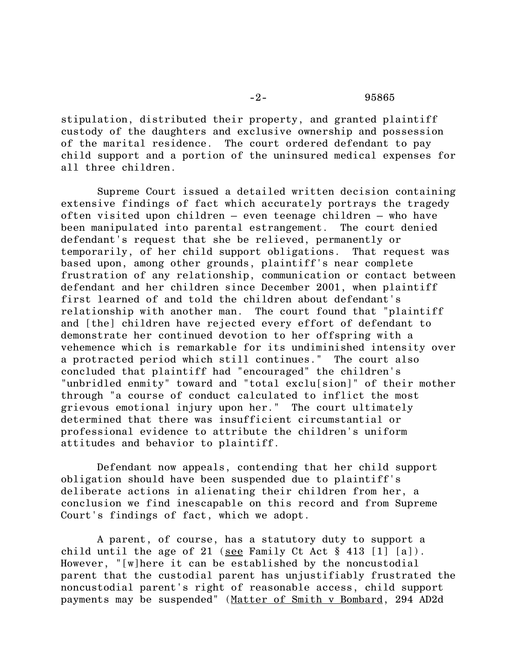stipulation, distributed their property, and granted plaintiff custody of the daughters and exclusive ownership and possession of the marital residence. The court ordered defendant to pay child support and a portion of the uninsured medical expenses for all three children.

Supreme Court issued a detailed written decision containing extensive findings of fact which accurately portrays the tragedy often visited upon children – even teenage children – who have been manipulated into parental estrangement. The court denied defendant's request that she be relieved, permanently or temporarily, of her child support obligations. That request was based upon, among other grounds, plaintiff's near complete frustration of any relationship, communication or contact between defendant and her children since December 2001, when plaintiff first learned of and told the children about defendant's relationship with another man. The court found that "plaintiff and [the] children have rejected every effort of defendant to demonstrate her continued devotion to her offspring with a vehemence which is remarkable for its undiminished intensity over a protracted period which still continues." The court also concluded that plaintiff had "encouraged" the children's "unbridled enmity" toward and "total exclu[sion]" of their mother through "a course of conduct calculated to inflict the most grievous emotional injury upon her." The court ultimately determined that there was insufficient circumstantial or professional evidence to attribute the children's uniform attitudes and behavior to plaintiff.

Defendant now appeals, contending that her child support obligation should have been suspended due to plaintiff's deliberate actions in alienating their children from her, a conclusion we find inescapable on this record and from Supreme Court's findings of fact, which we adopt.

A parent, of course, has a statutory duty to support a child until the age of 21 (see Family Ct Act  $\S$  413 [1] [a]). However, "[w]here it can be established by the noncustodial parent that the custodial parent has unjustifiably frustrated the noncustodial parent's right of reasonable access, child support payments may be suspended" (Matter of Smith v Bombard, 294 AD2d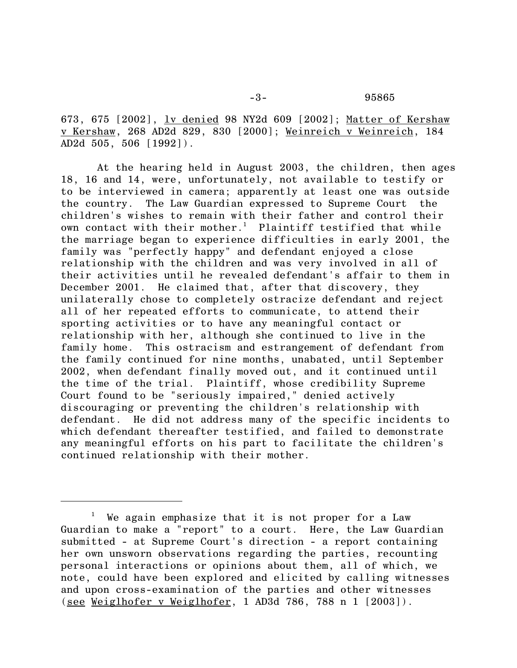673, 675 [2002], lv denied 98 NY2d 609 [2002]; Matter of Kershaw v Kershaw, 268 AD2d 829, 830 [2000]; Weinreich v Weinreich, 184 AD2d 505, 506 [1992]).

At the hearing held in August 2003, the children, then ages 18, 16 and 14, were, unfortunately, not available to testify or to be interviewed in camera; apparently at least one was outside the country. The Law Guardian expressed to Supreme Court the children's wishes to remain with their father and control their own contact with their mother.<sup>1</sup> Plaintiff testified that while the marriage began to experience difficulties in early 2001, the family was "perfectly happy" and defendant enjoyed a close relationship with the children and was very involved in all of their activities until he revealed defendant's affair to them in December 2001. He claimed that, after that discovery, they unilaterally chose to completely ostracize defendant and reject all of her repeated efforts to communicate, to attend their sporting activities or to have any meaningful contact or relationship with her, although she continued to live in the family home. This ostracism and estrangement of defendant from the family continued for nine months, unabated, until September 2002, when defendant finally moved out, and it continued until the time of the trial. Plaintiff, whose credibility Supreme Court found to be "seriously impaired," denied actively discouraging or preventing the children's relationship with defendant. He did not address many of the specific incidents to which defendant thereafter testified, and failed to demonstrate any meaningful efforts on his part to facilitate the children's continued relationship with their mother.

 $^1$  We again emphasize that it is not proper for a Law Guardian to make a "report" to a court. Here, the Law Guardian submitted - at Supreme Court's direction - a report containing her own unsworn observations regarding the parties, recounting personal interactions or opinions about them, all of which, we note, could have been explored and elicited by calling witnesses and upon cross-examination of the parties and other witnesses (see Weiglhofer v Weiglhofer, 1 AD3d 786, 788 n 1 [2003]).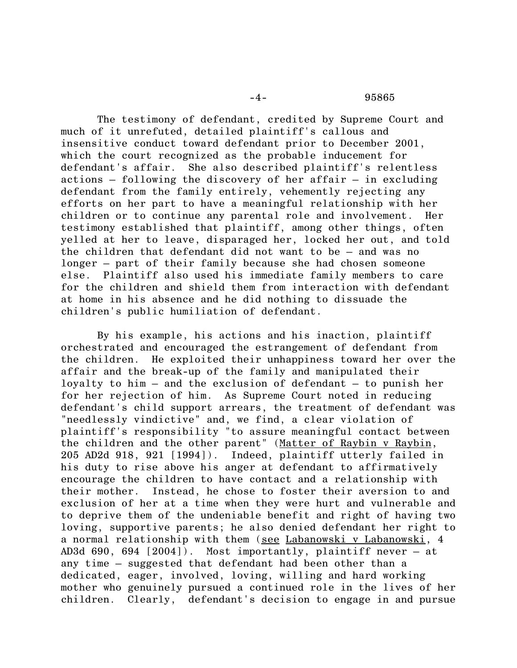The testimony of defendant, credited by Supreme Court and much of it unrefuted, detailed plaintiff's callous and insensitive conduct toward defendant prior to December 2001, which the court recognized as the probable inducement for defendant's affair. She also described plaintiff's relentless actions – following the discovery of her affair – in excluding defendant from the family entirely, vehemently rejecting any efforts on her part to have a meaningful relationship with her children or to continue any parental role and involvement. Her testimony established that plaintiff, among other things, often yelled at her to leave, disparaged her, locked her out, and told the children that defendant did not want to be – and was no longer – part of their family because she had chosen someone else. Plaintiff also used his immediate family members to care for the children and shield them from interaction with defendant at home in his absence and he did nothing to dissuade the children's public humiliation of defendant.

By his example, his actions and his inaction, plaintiff orchestrated and encouraged the estrangement of defendant from the children. He exploited their unhappiness toward her over the affair and the break-up of the family and manipulated their loyalty to him – and the exclusion of defendant – to punish her for her rejection of him. As Supreme Court noted in reducing defendant's child support arrears, the treatment of defendant was "needlessly vindictive" and, we find, a clear violation of plaintiff's responsibility "to assure meaningful contact between the children and the other parent" (Matter of Raybin v Raybin, 205 AD2d 918, 921 [1994]). Indeed, plaintiff utterly failed in his duty to rise above his anger at defendant to affirmatively encourage the children to have contact and a relationship with their mother. Instead, he chose to foster their aversion to and exclusion of her at a time when they were hurt and vulnerable and to deprive them of the undeniable benefit and right of having two loving, supportive parents; he also denied defendant her right to a normal relationship with them (see Labanowski v Labanowski, 4 AD3d 690, 694 [2004]). Most importantly, plaintiff never – at any time – suggested that defendant had been other than a dedicated, eager, involved, loving, willing and hard working mother who genuinely pursued a continued role in the lives of her children. Clearly, defendant's decision to engage in and pursue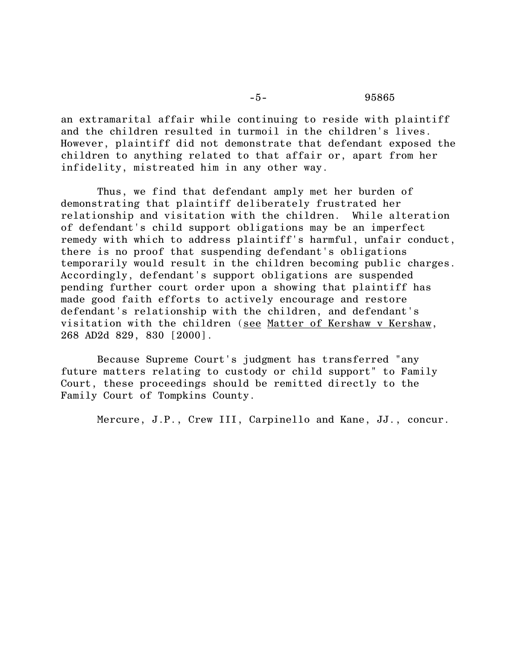## -5- 95865

an extramarital affair while continuing to reside with plaintiff and the children resulted in turmoil in the children's lives. However, plaintiff did not demonstrate that defendant exposed the children to anything related to that affair or, apart from her infidelity, mistreated him in any other way.

Thus, we find that defendant amply met her burden of demonstrating that plaintiff deliberately frustrated her relationship and visitation with the children. While alteration of defendant's child support obligations may be an imperfect remedy with which to address plaintiff's harmful, unfair conduct, there is no proof that suspending defendant's obligations temporarily would result in the children becoming public charges. Accordingly, defendant's support obligations are suspended pending further court order upon a showing that plaintiff has made good faith efforts to actively encourage and restore defendant's relationship with the children, and defendant's visitation with the children (see Matter of Kershaw v Kershaw, 268 AD2d 829, 830 [2000].

Because Supreme Court's judgment has transferred "any future matters relating to custody or child support" to Family Court, these proceedings should be remitted directly to the Family Court of Tompkins County.

Mercure, J.P., Crew III, Carpinello and Kane, JJ., concur.